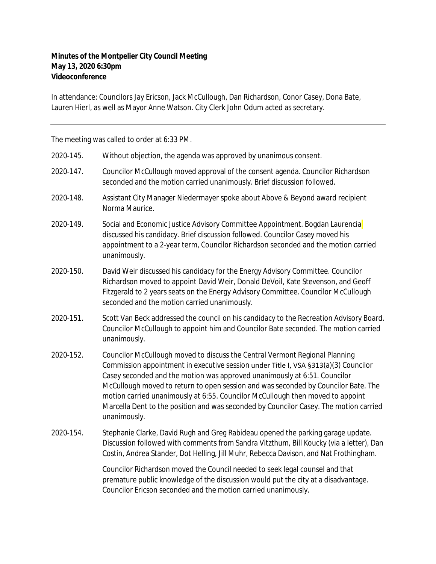## **Minutes of the Montpelier City Council Meeting May 13, 2020 6:30pm Videoconference**

In attendance: Councilors Jay Ericson, Jack McCullough, Dan Richardson, Conor Casey, Dona Bate, Lauren Hierl, as well as Mayor Anne Watson. City Clerk John Odum acted as secretary.

The meeting was called to order at 6:33 PM.

| 2020-145. | Without objection, the agenda was approved by unanimous consent.                                                                                                                                                                                                                                                                                                                                                                                                                                                                 |
|-----------|----------------------------------------------------------------------------------------------------------------------------------------------------------------------------------------------------------------------------------------------------------------------------------------------------------------------------------------------------------------------------------------------------------------------------------------------------------------------------------------------------------------------------------|
| 2020-147. | Councilor McCullough moved approval of the consent agenda. Councilor Richardson<br>seconded and the motion carried unanimously. Brief discussion followed.                                                                                                                                                                                                                                                                                                                                                                       |
| 2020-148. | Assistant City Manager Niedermayer spoke about Above & Beyond award recipient<br>Norma Maurice.                                                                                                                                                                                                                                                                                                                                                                                                                                  |
| 2020-149. | Social and Economic Justice Advisory Committee Appointment. Bogdan Laurencia<br>discussed his candidacy. Brief discussion followed. Councilor Casey moved his<br>appointment to a 2-year term, Councilor Richardson seconded and the motion carried<br>unanimously.                                                                                                                                                                                                                                                              |
| 2020-150. | David Weir discussed his candidacy for the Energy Advisory Committee. Councilor<br>Richardson moved to appoint David Weir, Donald DeVoil, Kate Stevenson, and Geoff<br>Fitzgerald to 2 years seats on the Energy Advisory Committee. Councilor McCullough<br>seconded and the motion carried unanimously.                                                                                                                                                                                                                        |
| 2020-151. | Scott Van Beck addressed the council on his candidacy to the Recreation Advisory Board.<br>Councilor McCullough to appoint him and Councilor Bate seconded. The motion carried<br>unanimously.                                                                                                                                                                                                                                                                                                                                   |
| 2020-152. | Councilor McCullough moved to discuss the Central Vermont Regional Planning<br>Commission appointment in executive session under Title I, VSA §313(a)(3) Councilor<br>Casey seconded and the motion was approved unanimously at 6:51. Councilor<br>McCullough moved to return to open session and was seconded by Councilor Bate. The<br>motion carried unanimously at 6:55. Councilor McCullough then moved to appoint<br>Marcella Dent to the position and was seconded by Councilor Casey. The motion carried<br>unanimously. |
| 2020-154. | Stephanie Clarke, David Rugh and Greg Rabideau opened the parking garage update.<br>Discussion followed with comments from Sandra Vitzthum, Bill Koucky (via a letter), Dan<br>Costin, Andrea Stander, Dot Helling, Jill Muhr, Rebecca Davison, and Nat Frothingham.                                                                                                                                                                                                                                                             |
|           | Councilor Richardson moved the Council needed to seek legal counsel and that<br>premature public knowledge of the discussion would put the city at a disadvantage.<br>Councilor Ericson seconded and the motion carried unanimously.                                                                                                                                                                                                                                                                                             |